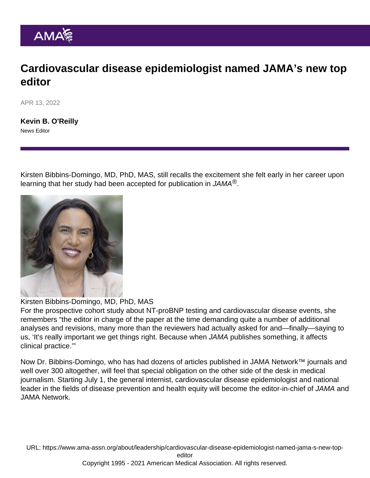## Cardiovascular disease epidemiologist named JAMA's new top editor

APR 13, 2022

[Kevin B. O'Reilly](https://www.ama-assn.org/news-leadership-viewpoints/authors-news-leadership-viewpoints/kevin-b-oreilly) News Editor

Kirsten Bibbins-Domingo, MD, PhD, MAS, still recalls the excitement she felt early in her career upon learning that her study had been accepted for publication in [JAMA](https://jamanetwork.com/journals/jama)®.

Kirsten Bibbins-Domingo, MD, PhD, MAS

For the [prospective cohort study](https://jamanetwork.com/journals/jama/fullarticle/205026?resultClick=1) about NT-proBNP testing and cardiovascular disease events, she remembers "the editor in charge of the paper at the time demanding quite a number of additional analyses and revisions, many more than the reviewers had actually asked for and—finally—saying to us, 'It's really important we get things right. Because when JAMA publishes something, it affects clinical practice.'"

Now Dr. Bibbins-Domingo, who has [had dozens of articles published](https://jamanetwork.com/searchresults?q=Kirsten+Bibbins-Domingo&sort=Newest&author=Kirsten+Bibbins-Domingo&page=2) in JAMA Network™ journals and [well over 300 altogether](https://pubmed.ncbi.nlm.nih.gov/?term=Bibbins-Domingo+K&sort=date&size=200), will feel that special obligation on the other side of the desk in medical journalism. Starting July 1, the general internist, cardiovascular disease epidemiologist and national leader in the fields of disease prevention and [health equity](https://www.ama-assn.org/delivering-care/health-equity) will become the editor-in-chief of JAMA and [JAMA Network](https://jamanetwork.com/).

URL: [https://www.ama-assn.org/about/leadership/cardiovascular-disease-epidemiologist-named-jama-s-new-top-](https://www.ama-assn.org/about/leadership/cardiovascular-disease-epidemiologist-named-jama-s-new-top-editor)

[editor](https://www.ama-assn.org/about/leadership/cardiovascular-disease-epidemiologist-named-jama-s-new-top-editor)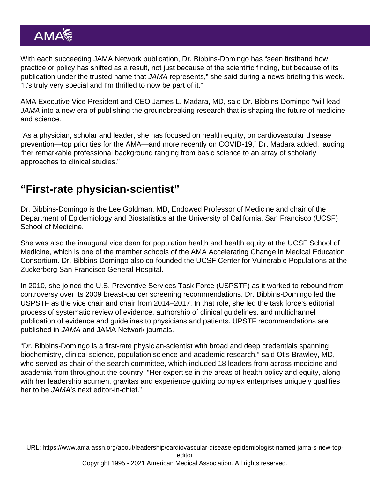With each succeeding JAMA Network publication, Dr. Bibbins-Domingo has "seen firsthand how practice or policy has shifted as a result, not just because of the scientific finding, but because of its publication under the trusted name that JAMA represents," she said during a news briefing this week. "It's truly very special and I'm thrilled to now be part of it."

AMA Executive Vice President and CEO [James L. Madara, MD](https://www.ama-assn.org/news-leadership-viewpoints/authors-news-leadership-viewpoints/james-l-madara-md), said Dr. Bibbins-Domingo "will lead JAMA into a new era of publishing the groundbreaking research that is shaping the future of medicine and science.

"As a physician, scholar and leader, she has focused on health equity, on cardiovascular disease prevention—top priorities for the AMA—and more recently on COVID-19," Dr. Madara added, lauding "her remarkable professional background ranging from basic science to an array of scholarly approaches to clinical studies."

## "First-rate physician-scientist"

[Dr. Bibbins-Domingo](https://profiles.ucsf.edu/kirsten.bibbins-domingo) is the Lee Goldman, MD, Endowed Professor of Medicine and chair of the Department of Epidemiology and Biostatistics at the University of California, San Francisco (UCSF) School of Medicine.

She was also the inaugural vice dean for population health and health equity at the UCSF School of Medicine, which is one of the member schools of the [AMA Accelerating Change in Medical Education](https://www.ama-assn.org/education/accelerating-change-medical-education/members-accelerating-change-medical-education) [Consortium](https://www.ama-assn.org/education/accelerating-change-medical-education/members-accelerating-change-medical-education). Dr. Bibbins-Domingo also co-founded the UCSF Center for Vulnerable Populations at the Zuckerberg San Francisco General Hospital.

In 2010, she joined the U.S. Preventive Services Task Force (USPSTF) as it worked to rebound from controversy over its 2009 breast-cancer screening recommendations. Dr. Bibbins-Domingo led the USPSTF as the vice chair and chair from 2014–2017. In that role, she led the task force's editorial process of systematic review of evidence, authorship of clinical guidelines, and multichannel publication of evidence and guidelines to physicians and patients. UPSTF recommendations [are](https://jamanetwork.com/collections/44068/united-states-preventive-services-task-force) [published in JAMA and JAMA Network journals.](https://jamanetwork.com/collections/44068/united-states-preventive-services-task-force)

"Dr. Bibbins-Domingo is a first-rate physician-scientist with broad and deep credentials spanning biochemistry, clinical science, population science and academic research," said Otis Brawley, MD, who served as chair of the search committee, which included 18 leaders from across medicine and academia from throughout the country. "Her expertise in the areas of health policy and equity, along with her leadership acumen, gravitas and experience guiding complex enterprises uniquely qualifies her to be JAMA's next editor-in-chief."

URL: [https://www.ama-assn.org/about/leadership/cardiovascular-disease-epidemiologist-named-jama-s-new-top](https://www.ama-assn.org/about/leadership/cardiovascular-disease-epidemiologist-named-jama-s-new-top-editor)[editor](https://www.ama-assn.org/about/leadership/cardiovascular-disease-epidemiologist-named-jama-s-new-top-editor)